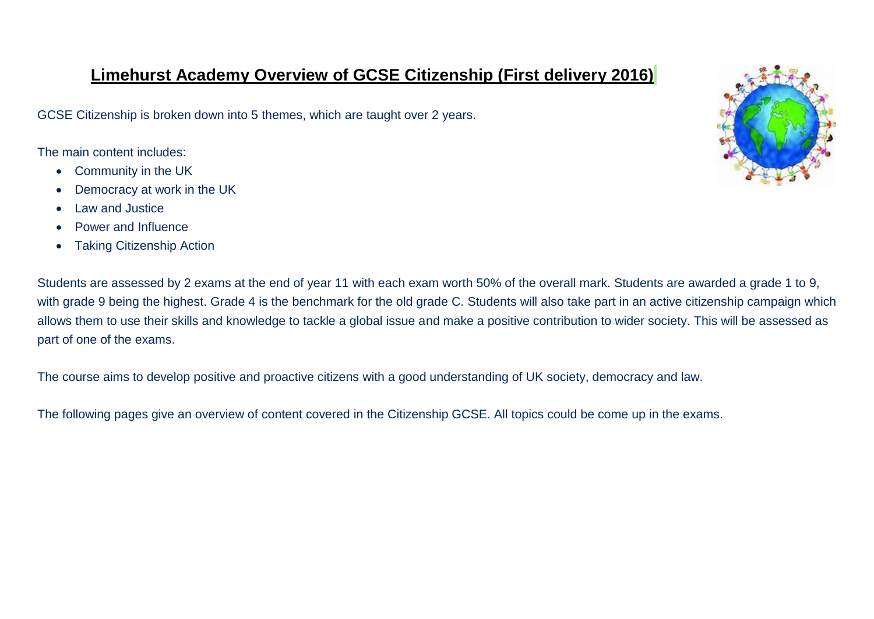### **Limehurst Academy Overview of GCSE Citizenship (First delivery 2016)**

GCSE Citizenship is broken down into 5 themes, which are taught over 2 years.

The main content includes:

- Community in the UK
- Democracy at work in the UK
- Law and Justice
- Power and Influence
- Taking Citizenship Action



Students are assessed by 2 exams at the end of year 11 with each exam worth 50% of the overall mark. Students are awarded a grade 1 to 9, with grade 9 being the highest. Grade 4 is the benchmark for the old grade C. Students will also take part in an active citizenship campaign which allows them to use their skills and knowledge to tackle a global issue and make a positive contribution to wider society. This will be assessed as part of one of the exams.

The course aims to develop positive and proactive citizens with a good understanding of UK society, democracy and law.

The following pages give an overview of content covered in the Citizenship GCSE. All topics could be come up in the exams.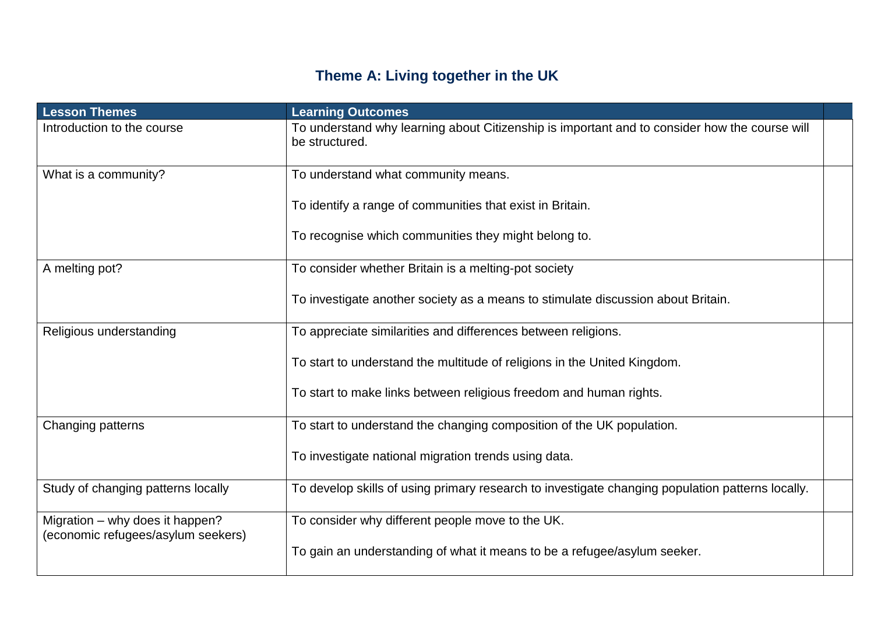# **Theme A: Living together in the UK**

| <b>Lesson Themes</b>                                                  | <b>Learning Outcomes</b>                                                                                        |  |
|-----------------------------------------------------------------------|-----------------------------------------------------------------------------------------------------------------|--|
| Introduction to the course                                            | To understand why learning about Citizenship is important and to consider how the course will<br>be structured. |  |
| What is a community?                                                  | To understand what community means.                                                                             |  |
|                                                                       | To identify a range of communities that exist in Britain.                                                       |  |
|                                                                       | To recognise which communities they might belong to.                                                            |  |
| A melting pot?                                                        | To consider whether Britain is a melting-pot society                                                            |  |
|                                                                       | To investigate another society as a means to stimulate discussion about Britain.                                |  |
| Religious understanding                                               | To appreciate similarities and differences between religions.                                                   |  |
|                                                                       | To start to understand the multitude of religions in the United Kingdom.                                        |  |
|                                                                       | To start to make links between religious freedom and human rights.                                              |  |
| Changing patterns                                                     | To start to understand the changing composition of the UK population.                                           |  |
|                                                                       | To investigate national migration trends using data.                                                            |  |
| Study of changing patterns locally                                    | To develop skills of using primary research to investigate changing population patterns locally.                |  |
| Migration – why does it happen?<br>(economic refugees/asylum seekers) | To consider why different people move to the UK.                                                                |  |
|                                                                       | To gain an understanding of what it means to be a refugee/asylum seeker.                                        |  |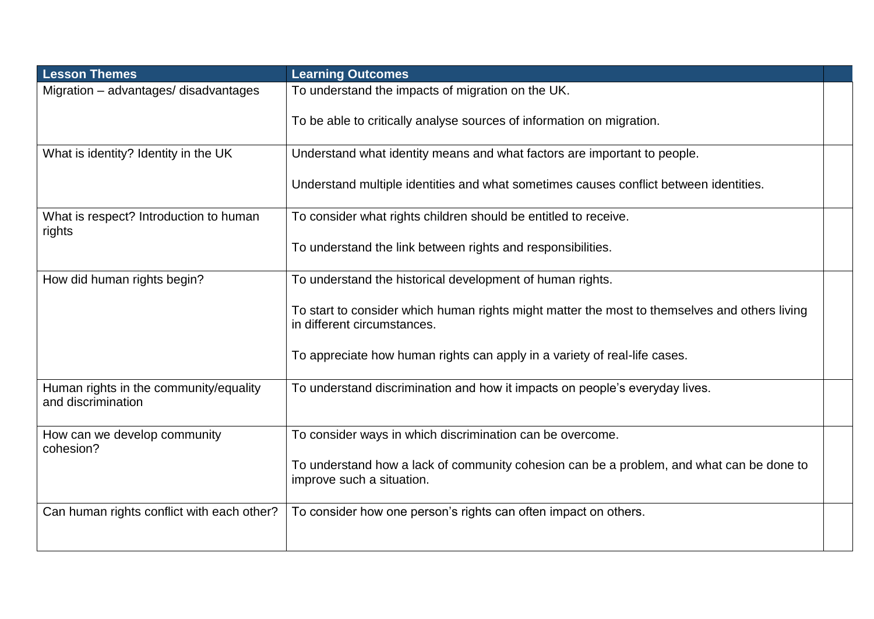| <b>Lesson Themes</b>                                         | <b>Learning Outcomes</b>                                                                                                     |  |
|--------------------------------------------------------------|------------------------------------------------------------------------------------------------------------------------------|--|
| Migration - advantages/ disadvantages                        | To understand the impacts of migration on the UK.                                                                            |  |
|                                                              | To be able to critically analyse sources of information on migration.                                                        |  |
| What is identity? Identity in the UK                         | Understand what identity means and what factors are important to people.                                                     |  |
|                                                              | Understand multiple identities and what sometimes causes conflict between identities.                                        |  |
| What is respect? Introduction to human<br>rights             | To consider what rights children should be entitled to receive.                                                              |  |
|                                                              | To understand the link between rights and responsibilities.                                                                  |  |
| How did human rights begin?                                  | To understand the historical development of human rights.                                                                    |  |
|                                                              | To start to consider which human rights might matter the most to themselves and others living<br>in different circumstances. |  |
|                                                              | To appreciate how human rights can apply in a variety of real-life cases.                                                    |  |
| Human rights in the community/equality<br>and discrimination | To understand discrimination and how it impacts on people's everyday lives.                                                  |  |
| How can we develop community<br>cohesion?                    | To consider ways in which discrimination can be overcome.                                                                    |  |
|                                                              | To understand how a lack of community cohesion can be a problem, and what can be done to<br>improve such a situation.        |  |
| Can human rights conflict with each other?                   | To consider how one person's rights can often impact on others.                                                              |  |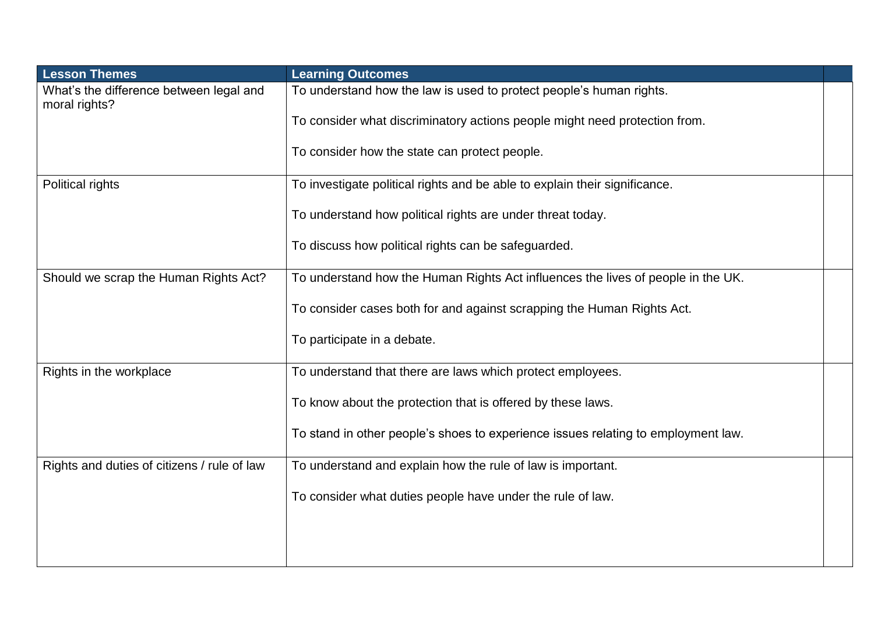| <b>Lesson Themes</b>                                     | <b>Learning Outcomes</b>                                                          |  |
|----------------------------------------------------------|-----------------------------------------------------------------------------------|--|
| What's the difference between legal and<br>moral rights? | To understand how the law is used to protect people's human rights.               |  |
|                                                          | To consider what discriminatory actions people might need protection from.        |  |
|                                                          | To consider how the state can protect people.                                     |  |
| Political rights                                         | To investigate political rights and be able to explain their significance.        |  |
|                                                          | To understand how political rights are under threat today.                        |  |
|                                                          | To discuss how political rights can be safeguarded.                               |  |
| Should we scrap the Human Rights Act?                    | To understand how the Human Rights Act influences the lives of people in the UK.  |  |
|                                                          | To consider cases both for and against scrapping the Human Rights Act.            |  |
|                                                          | To participate in a debate.                                                       |  |
| Rights in the workplace                                  | To understand that there are laws which protect employees.                        |  |
|                                                          | To know about the protection that is offered by these laws.                       |  |
|                                                          | To stand in other people's shoes to experience issues relating to employment law. |  |
| Rights and duties of citizens / rule of law              | To understand and explain how the rule of law is important.                       |  |
|                                                          | To consider what duties people have under the rule of law.                        |  |
|                                                          |                                                                                   |  |
|                                                          |                                                                                   |  |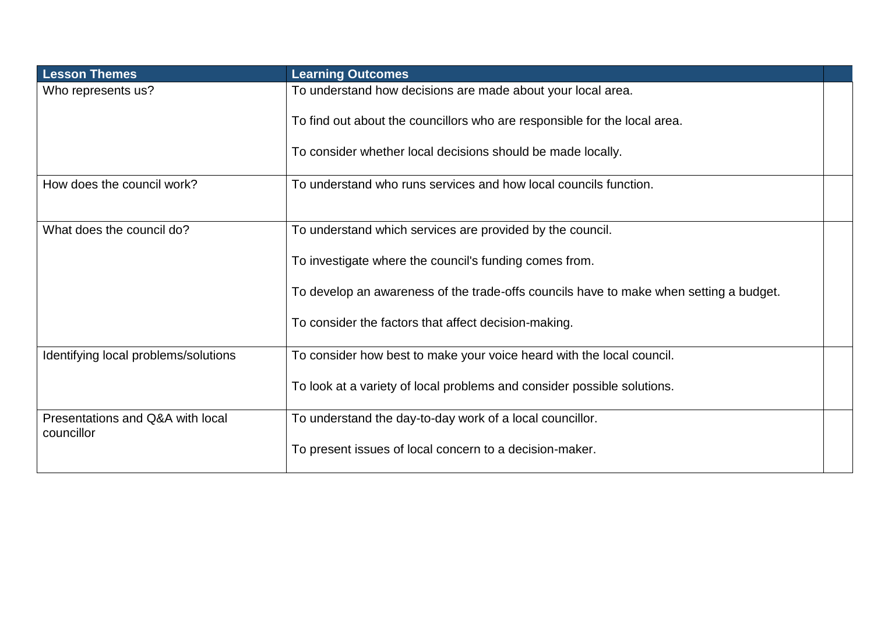| <b>Lesson Themes</b>                           | <b>Learning Outcomes</b>                                                               |  |
|------------------------------------------------|----------------------------------------------------------------------------------------|--|
| Who represents us?                             | To understand how decisions are made about your local area.                            |  |
|                                                | To find out about the councillors who are responsible for the local area.              |  |
|                                                | To consider whether local decisions should be made locally.                            |  |
| How does the council work?                     | To understand who runs services and how local councils function.                       |  |
| What does the council do?                      | To understand which services are provided by the council.                              |  |
|                                                | To investigate where the council's funding comes from.                                 |  |
|                                                | To develop an awareness of the trade-offs councils have to make when setting a budget. |  |
|                                                | To consider the factors that affect decision-making.                                   |  |
| Identifying local problems/solutions           | To consider how best to make your voice heard with the local council.                  |  |
|                                                | To look at a variety of local problems and consider possible solutions.                |  |
| Presentations and Q&A with local<br>councillor | To understand the day-to-day work of a local councillor.                               |  |
|                                                | To present issues of local concern to a decision-maker.                                |  |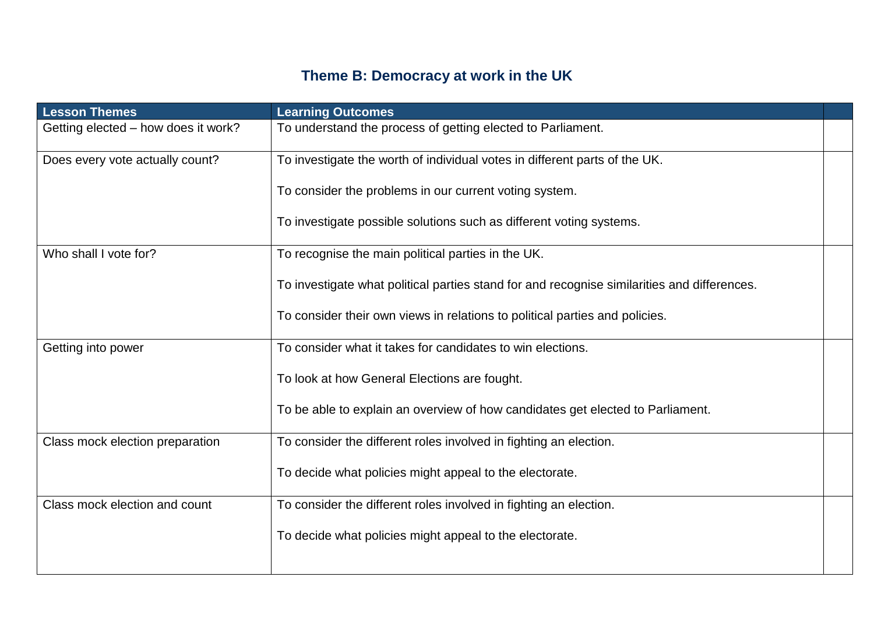# **Theme B: Democracy at work in the UK**

| <b>Lesson Themes</b>                | <b>Learning Outcomes</b>                                                                    |  |
|-------------------------------------|---------------------------------------------------------------------------------------------|--|
| Getting elected - how does it work? | To understand the process of getting elected to Parliament.                                 |  |
| Does every vote actually count?     | To investigate the worth of individual votes in different parts of the UK.                  |  |
|                                     | To consider the problems in our current voting system.                                      |  |
|                                     | To investigate possible solutions such as different voting systems.                         |  |
| Who shall I vote for?               | To recognise the main political parties in the UK.                                          |  |
|                                     | To investigate what political parties stand for and recognise similarities and differences. |  |
|                                     | To consider their own views in relations to political parties and policies.                 |  |
| Getting into power                  | To consider what it takes for candidates to win elections.                                  |  |
|                                     | To look at how General Elections are fought.                                                |  |
|                                     | To be able to explain an overview of how candidates get elected to Parliament.              |  |
| Class mock election preparation     | To consider the different roles involved in fighting an election.                           |  |
|                                     | To decide what policies might appeal to the electorate.                                     |  |
| Class mock election and count       | To consider the different roles involved in fighting an election.                           |  |
|                                     | To decide what policies might appeal to the electorate.                                     |  |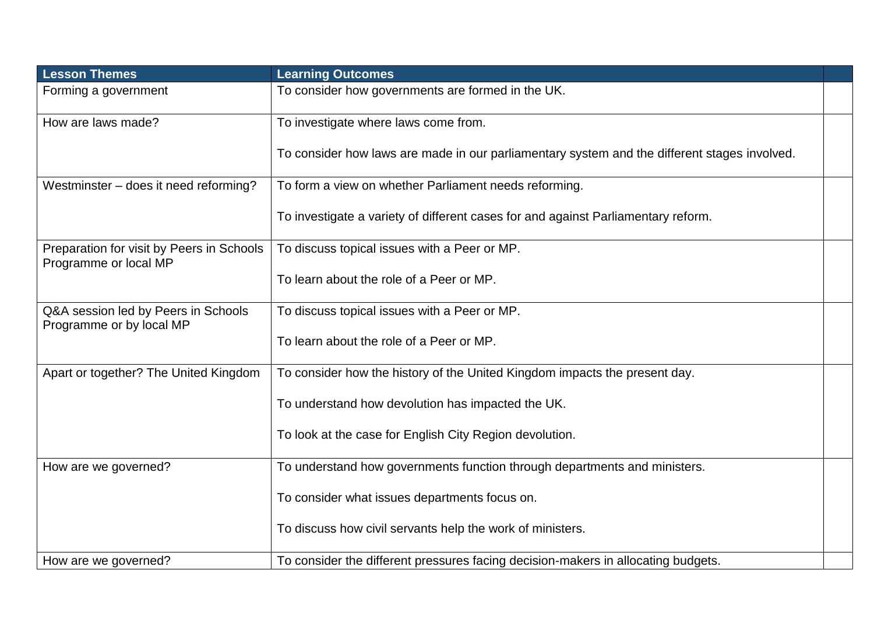| <b>Lesson Themes</b>                                               | <b>Learning Outcomes</b>                                                                     |  |
|--------------------------------------------------------------------|----------------------------------------------------------------------------------------------|--|
| Forming a government                                               | To consider how governments are formed in the UK.                                            |  |
| How are laws made?                                                 | To investigate where laws come from.                                                         |  |
|                                                                    | To consider how laws are made in our parliamentary system and the different stages involved. |  |
| Westminster - does it need reforming?                              | To form a view on whether Parliament needs reforming.                                        |  |
|                                                                    | To investigate a variety of different cases for and against Parliamentary reform.            |  |
| Preparation for visit by Peers in Schools<br>Programme or local MP | To discuss topical issues with a Peer or MP.                                                 |  |
|                                                                    | To learn about the role of a Peer or MP.                                                     |  |
| Q&A session led by Peers in Schools<br>Programme or by local MP    | To discuss topical issues with a Peer or MP.                                                 |  |
|                                                                    | To learn about the role of a Peer or MP.                                                     |  |
| Apart or together? The United Kingdom                              | To consider how the history of the United Kingdom impacts the present day.                   |  |
|                                                                    | To understand how devolution has impacted the UK.                                            |  |
|                                                                    | To look at the case for English City Region devolution.                                      |  |
| How are we governed?                                               | To understand how governments function through departments and ministers.                    |  |
|                                                                    | To consider what issues departments focus on.                                                |  |
|                                                                    | To discuss how civil servants help the work of ministers.                                    |  |
| How are we governed?                                               | To consider the different pressures facing decision-makers in allocating budgets.            |  |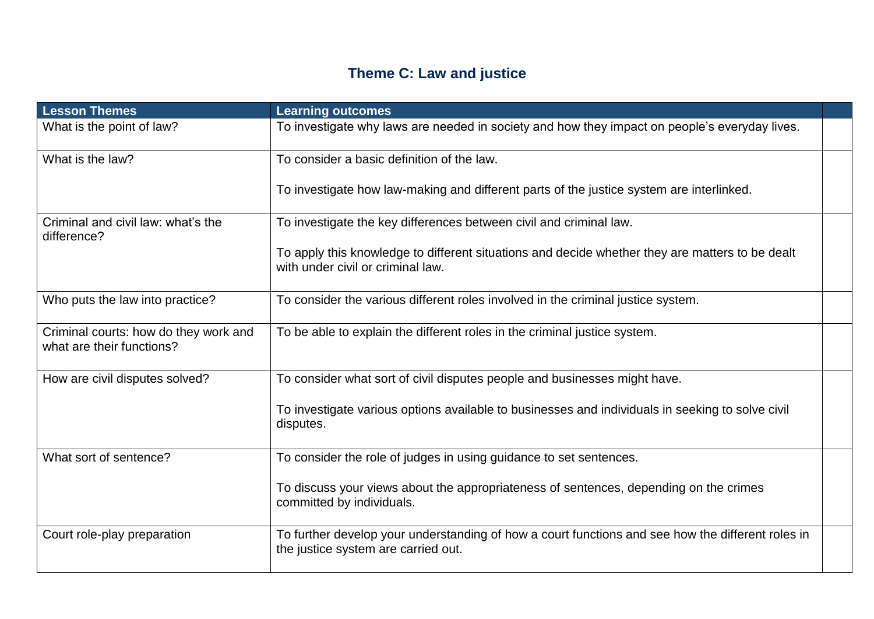# **Theme C: Law and justice**

| <b>Lesson Themes</b>                                               | <b>Learning outcomes</b>                                                                                                                 |  |
|--------------------------------------------------------------------|------------------------------------------------------------------------------------------------------------------------------------------|--|
| What is the point of law?                                          | To investigate why laws are needed in society and how they impact on people's everyday lives.                                            |  |
| What is the law?                                                   | To consider a basic definition of the law.                                                                                               |  |
|                                                                    | To investigate how law-making and different parts of the justice system are interlinked.                                                 |  |
| Criminal and civil law: what's the<br>difference?                  | To investigate the key differences between civil and criminal law.                                                                       |  |
|                                                                    | To apply this knowledge to different situations and decide whether they are matters to be dealt<br>with under civil or criminal law.     |  |
| Who puts the law into practice?                                    | To consider the various different roles involved in the criminal justice system.                                                         |  |
| Criminal courts: how do they work and<br>what are their functions? | To be able to explain the different roles in the criminal justice system.                                                                |  |
| How are civil disputes solved?                                     | To consider what sort of civil disputes people and businesses might have.                                                                |  |
|                                                                    | To investigate various options available to businesses and individuals in seeking to solve civil<br>disputes.                            |  |
| What sort of sentence?                                             | To consider the role of judges in using guidance to set sentences.                                                                       |  |
|                                                                    | To discuss your views about the appropriateness of sentences, depending on the crimes<br>committed by individuals.                       |  |
| Court role-play preparation                                        | To further develop your understanding of how a court functions and see how the different roles in<br>the justice system are carried out. |  |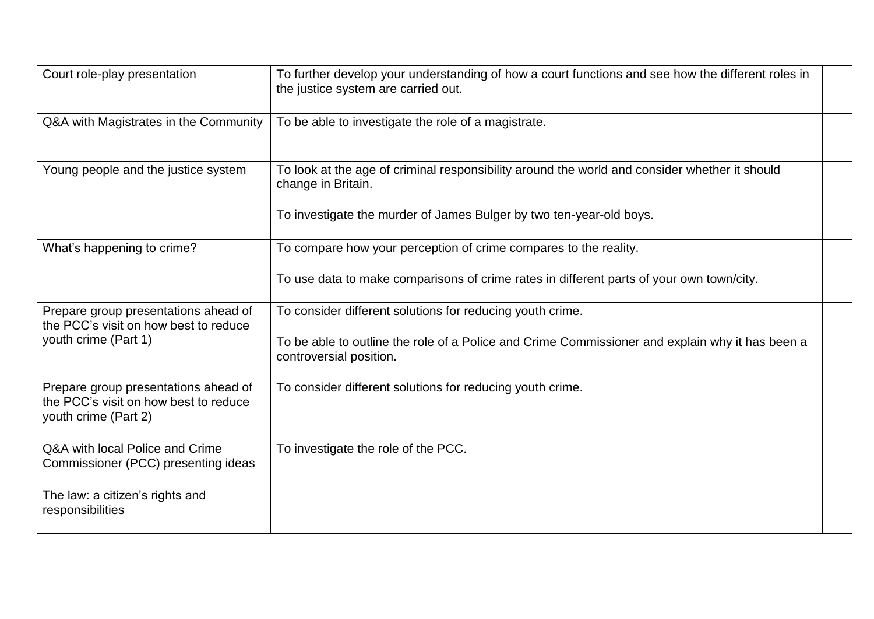| Court role-play presentation                                                                          | To further develop your understanding of how a court functions and see how the different roles in<br>the justice system are carried out. |  |
|-------------------------------------------------------------------------------------------------------|------------------------------------------------------------------------------------------------------------------------------------------|--|
| Q&A with Magistrates in the Community                                                                 | To be able to investigate the role of a magistrate.                                                                                      |  |
| Young people and the justice system                                                                   | To look at the age of criminal responsibility around the world and consider whether it should<br>change in Britain.                      |  |
|                                                                                                       | To investigate the murder of James Bulger by two ten-year-old boys.                                                                      |  |
| What's happening to crime?                                                                            | To compare how your perception of crime compares to the reality.                                                                         |  |
|                                                                                                       | To use data to make comparisons of crime rates in different parts of your own town/city.                                                 |  |
| Prepare group presentations ahead of<br>the PCC's visit on how best to reduce                         | To consider different solutions for reducing youth crime.                                                                                |  |
| youth crime (Part 1)                                                                                  | To be able to outline the role of a Police and Crime Commissioner and explain why it has been a<br>controversial position.               |  |
| Prepare group presentations ahead of<br>the PCC's visit on how best to reduce<br>youth crime (Part 2) | To consider different solutions for reducing youth crime.                                                                                |  |
| Q&A with local Police and Crime<br>Commissioner (PCC) presenting ideas                                | To investigate the role of the PCC.                                                                                                      |  |
| The law: a citizen's rights and<br>responsibilities                                                   |                                                                                                                                          |  |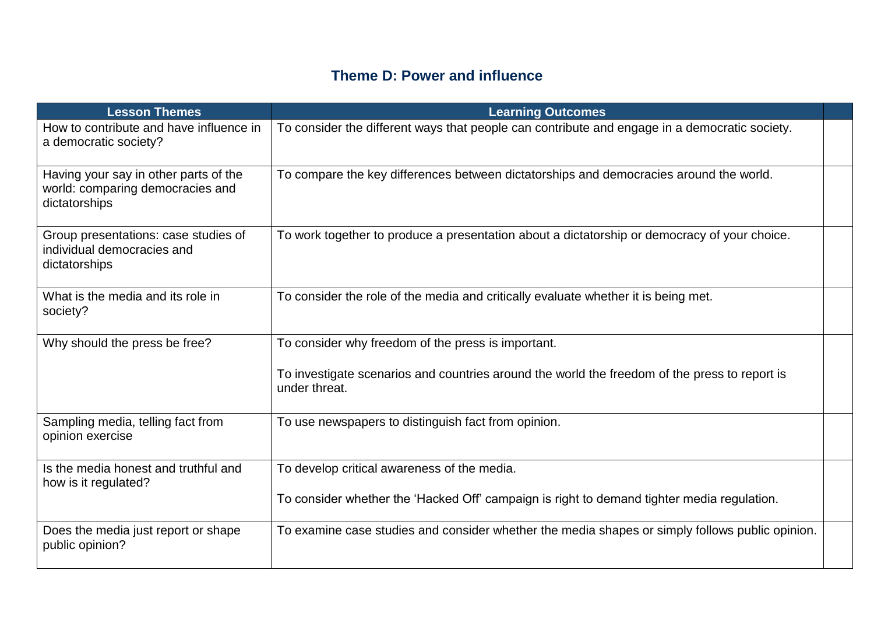### **Theme D: Power and influence**

| <b>Lesson Themes</b>                                                                       | <b>Learning Outcomes</b>                                                                                       |  |
|--------------------------------------------------------------------------------------------|----------------------------------------------------------------------------------------------------------------|--|
| How to contribute and have influence in<br>a democratic society?                           | To consider the different ways that people can contribute and engage in a democratic society.                  |  |
| Having your say in other parts of the<br>world: comparing democracies and<br>dictatorships | To compare the key differences between dictatorships and democracies around the world.                         |  |
| Group presentations: case studies of<br>individual democracies and<br>dictatorships        | To work together to produce a presentation about a dictatorship or democracy of your choice.                   |  |
| What is the media and its role in<br>society?                                              | To consider the role of the media and critically evaluate whether it is being met.                             |  |
| Why should the press be free?                                                              | To consider why freedom of the press is important.                                                             |  |
|                                                                                            | To investigate scenarios and countries around the world the freedom of the press to report is<br>under threat. |  |
| Sampling media, telling fact from<br>opinion exercise                                      | To use newspapers to distinguish fact from opinion.                                                            |  |
| Is the media honest and truthful and<br>how is it regulated?                               | To develop critical awareness of the media.                                                                    |  |
|                                                                                            | To consider whether the 'Hacked Off' campaign is right to demand tighter media regulation.                     |  |
| Does the media just report or shape<br>public opinion?                                     | To examine case studies and consider whether the media shapes or simply follows public opinion.                |  |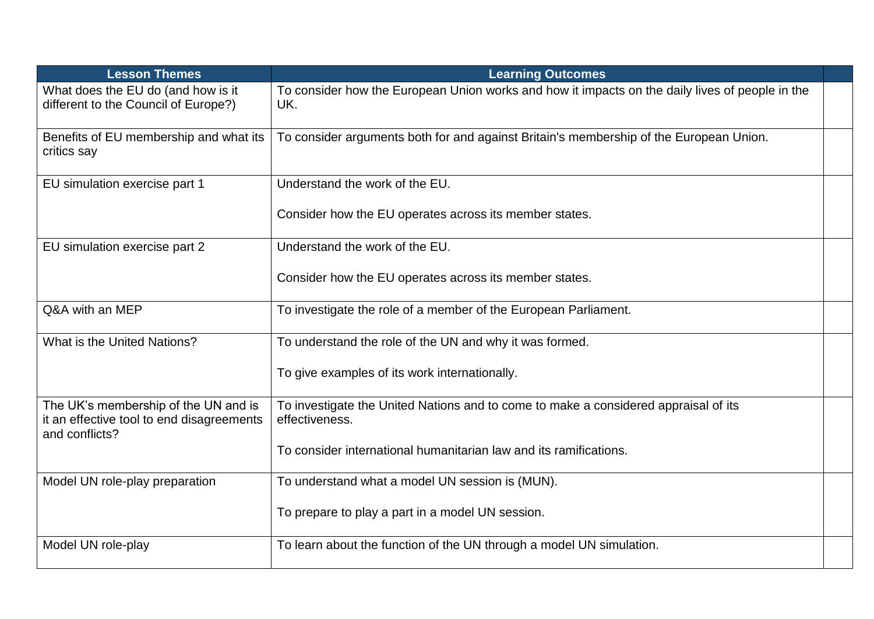| <b>Lesson Themes</b>                                                                                | <b>Learning Outcomes</b>                                                                               |  |
|-----------------------------------------------------------------------------------------------------|--------------------------------------------------------------------------------------------------------|--|
| What does the EU do (and how is it<br>different to the Council of Europe?)                          | To consider how the European Union works and how it impacts on the daily lives of people in the<br>UK. |  |
| Benefits of EU membership and what its<br>critics say                                               | To consider arguments both for and against Britain's membership of the European Union.                 |  |
| EU simulation exercise part 1                                                                       | Understand the work of the EU.                                                                         |  |
|                                                                                                     | Consider how the EU operates across its member states.                                                 |  |
| EU simulation exercise part 2                                                                       | Understand the work of the EU.                                                                         |  |
|                                                                                                     | Consider how the EU operates across its member states.                                                 |  |
| Q&A with an MEP                                                                                     | To investigate the role of a member of the European Parliament.                                        |  |
| What is the United Nations?                                                                         | To understand the role of the UN and why it was formed.                                                |  |
|                                                                                                     | To give examples of its work internationally.                                                          |  |
| The UK's membership of the UN and is<br>it an effective tool to end disagreements<br>and conflicts? | To investigate the United Nations and to come to make a considered appraisal of its<br>effectiveness.  |  |
|                                                                                                     | To consider international humanitarian law and its ramifications.                                      |  |
| Model UN role-play preparation                                                                      | To understand what a model UN session is (MUN).                                                        |  |
|                                                                                                     | To prepare to play a part in a model UN session.                                                       |  |
| Model UN role-play                                                                                  | To learn about the function of the UN through a model UN simulation.                                   |  |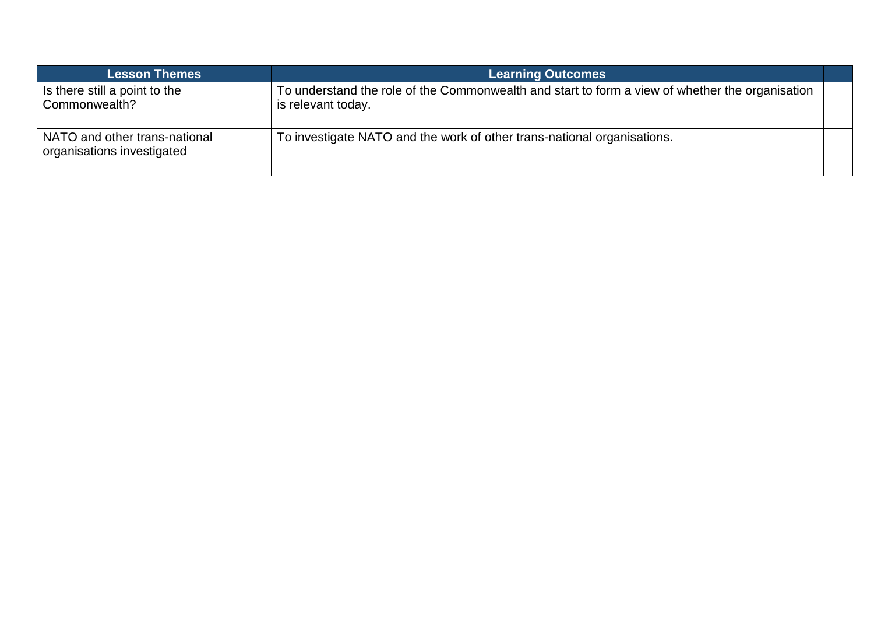| <b>Lesson Themes</b>                                        | <b>Learning Outcomes</b>                                                                                              |  |
|-------------------------------------------------------------|-----------------------------------------------------------------------------------------------------------------------|--|
| Is there still a point to the<br>Commonwealth?              | To understand the role of the Commonwealth and start to form a view of whether the organisation<br>is relevant today. |  |
| NATO and other trans-national<br>organisations investigated | To investigate NATO and the work of other trans-national organisations.                                               |  |